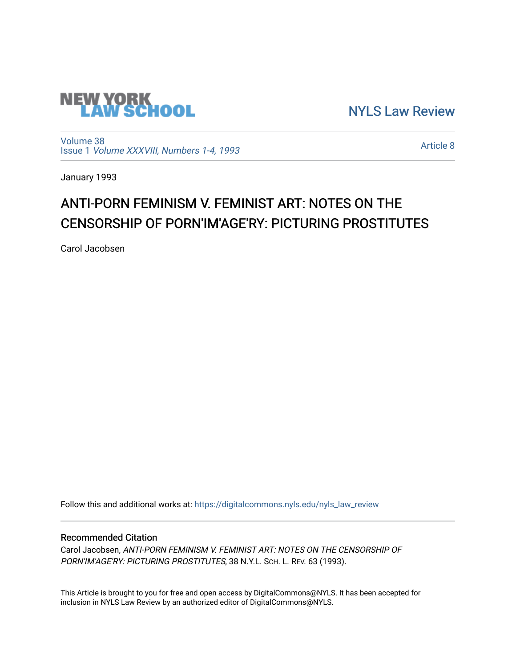

[NYLS Law Review](https://digitalcommons.nyls.edu/nyls_law_review) 

[Volume 38](https://digitalcommons.nyls.edu/nyls_law_review/vol38) Issue 1 [Volume XXXVIII, Numbers 1-4, 1993](https://digitalcommons.nyls.edu/nyls_law_review/vol38/iss1)

[Article 8](https://digitalcommons.nyls.edu/nyls_law_review/vol38/iss1/8) 

January 1993

## ANTI-PORN FEMINISM V. FEMINIST ART: NOTES ON THE CENSORSHIP OF PORN'IM'AGE'RY: PICTURING PROSTITUTES

Carol Jacobsen

Follow this and additional works at: [https://digitalcommons.nyls.edu/nyls\\_law\\_review](https://digitalcommons.nyls.edu/nyls_law_review?utm_source=digitalcommons.nyls.edu%2Fnyls_law_review%2Fvol38%2Fiss1%2F8&utm_medium=PDF&utm_campaign=PDFCoverPages) 

## Recommended Citation

Carol Jacobsen, ANTI-PORN FEMINISM V. FEMINIST ART: NOTES ON THE CENSORSHIP OF PORN'IM'AGE'RY: PICTURING PROSTITUTES, 38 N.Y.L. SCH. L. REV. 63 (1993).

This Article is brought to you for free and open access by DigitalCommons@NYLS. It has been accepted for inclusion in NYLS Law Review by an authorized editor of DigitalCommons@NYLS.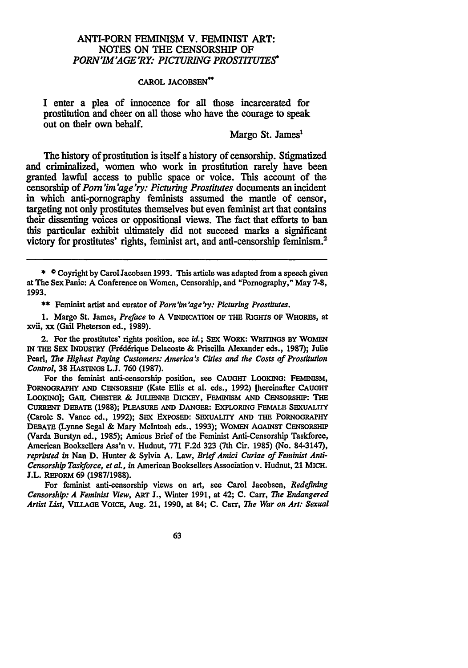## ANTI-PORN **FEMINISM** V. FEMINIST ART: **NOTES ON** THE **CENSORSHIP** OF *PORN'IM'AGE'RY PICTURING PROSTITUTES\**

## CAROL **JACOBSEN\*\***

I enter a plea of innocence for all those incarcerated for prostitution and cheer on all those who have the courage to speak out on their own behalf.

Margo St. James'

The history of prostitution is itself a history of censorship. Stigmatized and criminalized, women who work in prostitution rarely have been granted lawful access to public space or voice. This account of the censorship of *Porn'im'age'ry: Picturing Prostitutes* documents an incident in which anti-pornography feminists assumed the mantle of censor, targeting not only prostitutes themselves but even feminist art that contains their dissenting voices or oppositional views. The fact that efforts to ban this particular exhibit ultimately did not succeed marks a significant victory for prostitutes' rights, feminist art, and anti-censorship feminism.<sup>2</sup>

\* **0** Coyright **by** CarolJacobsen 1993. This article was adapted from a speech given at The Sex Panic: **A** Conference on Women, Censorship, and "Pornography," May 7-8, 1993.

\*\* Feminist artist and curator of *Porn 'im 'age'ry: Picturing Prostitutes.*

**1.** Margo St. James, *Preface* to **A** VINDICATION OF THE RIGHTS OF WHORES, at xvii, xx (Gail Pheterson ed., **1989).**

2. For the prostitutes' rights position, see *id.;* **SEX** WORK: WRITINGS BY WOMEN IN THE **SEX** INDUSTRY (Frdrique Delacoste & Priscilla Alexander eds., **1987);** Julie Pearl, *The Highest Paying Customers: America's Cities and the Costs of Prostitution Control,* **38** HASTINGS L.J. 760 (1987).

For the feminist anti-censorship position, see **CAUGHT** LOOKING: **FEMINISM,** PORNOGRAPHY **AND** CENSORSHIP (Kate Ellis et al. eds., 1992) [hereinafter **CAUGHT** LOOKINo]; **GAIL** CHESTER **& JULIENNE** DICKEY, FEMNISM **AND** CENSORSHIP: **THE** CURRENT DEBATE **(1988);** PLEASURE **AND DANGER:** EXPLORING **FEMALE SEXUALITY** (Carole **S.** Vance ed., **1992); SEX** EXPOSED: SEXUALITY **AND** THE PORNOGRAPHY DEBATE (Lynne Segal **&** Mary McIntosh eds., **1993);** WOMEN AGAINST CENSORSHIP (Varda Burstyn ed., **1985);** Amicus Brief of the Feminist Anti-Censorship Taskforce, American Booksellers Ass'n v. Hudnut, **771 F.2d 323** (7th Cir. 1985) (No. 84-3147), *reprinted in* Nan D. Hunter & Sylvia A. Law, *Brief Amici Curiae of Feminist Anti-Censorship Taskforce, et al, in* American Booksellers Association v. Hudnut, 21 MICH. **J.L.** REFORM **69** (1987/1988).

For feminist anti-censorship views on art, see Carol Jacobsen, *Redefining Censorshi: A Feminist View, ART* **J.,** Winter 1991, at 42; **C.** Carr, *The Endangered Artist List,* **VILLAGE** VOICE, Aug. 21, 1990, at 84; **C.** Carr, *The War on Art: Sexual*

63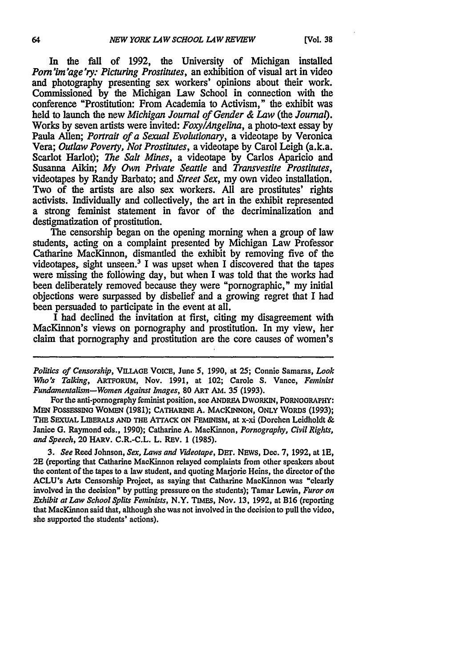In the **fall** of **1992,** the University of Michigan installed *Porn'im'age'ry: Picturing Prostitutes,* an exhibition of visual art in video and photography presenting sex workers' opinions about their work. Commissioned **by** the Michigan Law School in connection with the conference "Prostitution: From Academia to Activism," the exhibit was held to launch the new *Michigan Journal of Gender & Law (the Journal).* Works **by** seven artists were invited: *Foxy/Angelina,* a photo-text essay **by** Paula Allen; *Portrait of a Sexual Evolutionary,* a videotape **by** Veronica Vera; *Outlaw Poverty, Not Prostitutes,* a videotape **by** Carol Leigh (a.k.a. Scarlot Harlot); *The Salt Mines,* a videotape **by** Carlos Aparicio and Susanna Aikin; *My Own Private Seattle* and *Transvestite Prostitutes,* videotapes **by** Randy Barbato; and *Street Sex,* my own video installation. Two of the artists are also sex workers. All are prostitutes' rights activists. Individually and collectively, the art in the exhibit represented a strong feminist statement in favor of the decriminalization and destigmatization of prostitution.

The censorship began on the opening morning when a group of law students, acting on a complaint presented **by** Michigan Law Professor Catharine MacKinnon, dismantled the exhibit **by** removing five of the videotapes, sight unseen.<sup>3</sup> I was upset when I discovered that the tapes were missing the following day, but when I was told that the works had been deliberately removed because they were "pornographic," my initial objections were surpassed **by** disbelief and a growing regret that I had been persuaded to participate in the event at all.

I had declined the invitation at first, citing my disagreement with MacKinnon's views on pornography and prostitution. In my view, her claim that pornography and prostitution are the core causes of women's

*Politics of Censorship,* **VILLAaE VoicE,** June *5,* 1990, at 25; Connie Samaras, *Look* Who's *Talking,* ARTFORuM, Nov. **1991,** at 102; Carole S. Vance, Feminist *Fundamentalism-Women Against Images,* 80 ART AM. 35 (1993).

For the anti-pornography feminist position, see **ANDREA** DWORKIN, PORNOORAPHY: MEN PoSsEssING **WOIEN (1981); CATHARINE** A. MACKINNON, ONLY VORDS (1993); THE SEXUAL LIBERALS AND THE ATTACK ON FEMINISM, at x-xi (Dorchen Leidholdt & Janice G. Raymond eds., 1990); Catharine A. MacKinnon, *Pornography, Civil Rights, and Speech,* 20 HARV. C.R.-C.L. L. REV. 1 (1985).

3. *See* Reed Johnson, *Sex, Laws and Videotape,* DET. **NEWS,** Dec. 7, 1992, at **1E, 2E** (reporting that Catharine MacKinnon relayed complaints from other speakers about the content of the tapes to a law student, and quoting Marjorie Heins, the director of the ACLU's Arts Censorship Project, as saying that Catharine MacKinnon was "clearly involved in the decision" **by** putting pressure on the students); Tamar Lewin, *Furor on Exhibit at Law School Splits Feminists,* N.Y. **TIMEs,** Nov. 13, 1992, at B16 (reporting that MacKinnon said that, although she was not involved in the decision to pull the video, she supported the students' actions).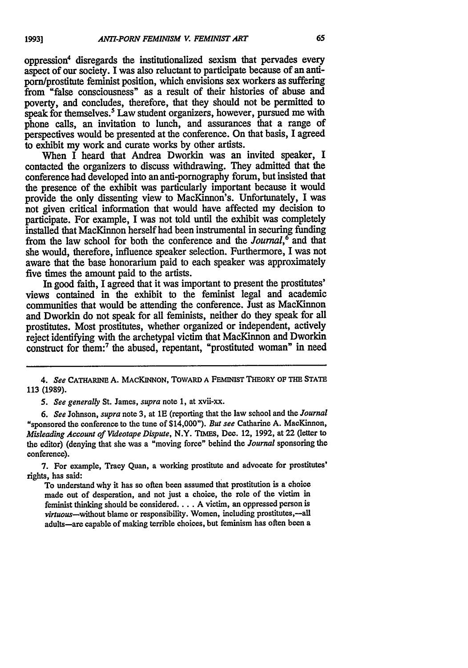oppression4 disregards the institutionalized sexism that pervades every aspect of our society. **I** was also reluctant to participate because of an antiporn/prostitute feminist position, which envisions sex workers as suffering from "false consciousness" as a result of their histories of abuse and poverty, and concludes, therefore, that they should not be permitted to speak for themselves.<sup>5</sup> Law student organizers, however, pursued me with phone calls, an invitation to lunch, and assurances that a range of perspectives would be presented at the conference. On that basis, I agreed to exhibit my work and curate works by other artists.

When I heard that Andrea Dworkin was an invited speaker, I contacted the organizers to discuss withdrawing. They admitted that the conference had developed into an anti-pornography forum, but insisted that the presence of the exhibit was particularly important because it would provide the only dissenting view to MacKinnon's. Unfortunately, I was not given critical information that would have affected my decision to participate. For example, I was not told until the exhibit was completely installed that MacKinnon herself had been instrumental in securing funding from the law school for both the conference and the *Journal,6* and that she would, therefore, influence speaker selection. Furthermore, I was not aware that the base honorarium paid to each speaker was approximately five times the amount paid to the artists.

In good faith, I agreed that it was important to present the prostitutes' views contained in the exhibit to the feminist legal and academic communities that would be attending the conference. Just as MacKinnon and Dworkin do not speak for all feminists, neither do they speak for all prostitutes. Most prostitutes, whether organized or independent, actively reject identifying with the archetypal victim that MacKinnon and Dworkin construct for them:7 the abused, repentant, "prostituted woman" in need

*4. See* **CATHAR]NE A.** MACKINNON, TOWARD **A FEMINIST** THEORY **OF THE STATE 113 (1989).**

*5. See generally* St. James, *supra* note 1, at xvii-xx.

*6. See* Johnson, *supra* note 3, at **1E** (reporting that the law school and the *Journal* "sponsored the conference to the tune of \$14,000"). *But see* Catharine A. MacKinnon, *Misleading Account of Videotape Dispute,* N.Y. **TIMES,** Dec. 12, 1992, at 22 (letter to the editor) (denying that she was a "moving force" behind the *Journal* sponsoring the conference).

**7.** For example, Tracy Quan, a working prostitute and advocate for prostitutes' rights, has said:

To understand why it has so often been assumed that prostitution is a choice made out of desperation, and not just a choice, the role of the victim in feminist thinking should be considered.... A victim, an oppressed person is virtuous-without blame or responsibility. Women, including prostitutes,--all adults-are capable of making terrible choices, but feminism has often been a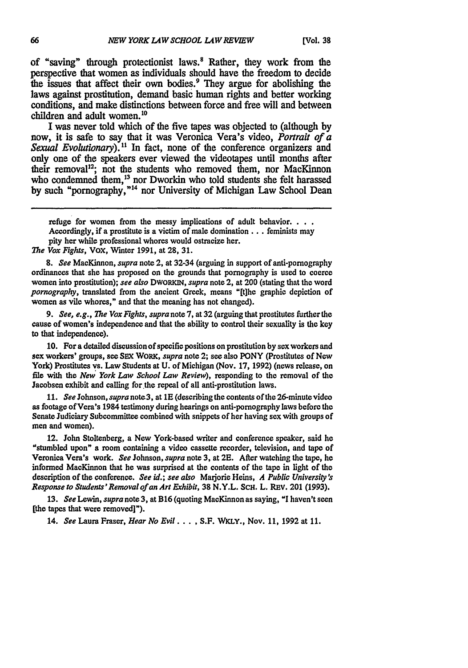of "saving" through protectionist laws.' Rather, they work from the perspective that women as individuals should have the freedom to decide the issues that affect their own bodies.<sup>9</sup> They argue for abolishing the laws against prostitution, demand basic human rights and better working conditions, and make distinctions between force and free will and between children and adult women.10

I was never told which of the five tapes was objected to (although **by** now, it is safe to say that it was Veronica Vera's video, *Portrait of a* Sexual Evolutionary).<sup>11</sup> In fact, none of the conference organizers and only one of the speakers ever viewed the videotapes until months after their removal<sup>12</sup>; not the students who removed them, nor MacKinnon who condemned them,<sup>13</sup> nor Dworkin who told students she felt harassed **by** such "pornography,"14 nor University of Michigan Law School Dean

**8.** *See* MacKinnon, *supra* note 2, at 32-34 (arguing in support of anti-pornography ordinances that she has proposed on the grounds that pornography is used to coerce women into prostitution); *see also* **DWORKIN,** *supra* note 2, at 200 (stating that the word *pornography,* translated from the ancient Greek, means "[tlhe graphic depiction of women as vile whores," and that the meaning has not changed).

*9. See, e.g., The Vox Fights, supra* note **7,** at **32** (arguing that prostitutes further the cause of women's independence and that the ability to control their sexuality is the **key** to that independence).

**10.** For a detailed discussion of specific positions on prostitution **by** sex workers and sex workers' groups, see **SEX** WORK, *supra* note 2; see also PONY (Prostitutes of New York) Prostitutes vs. Law Students at **U.** of Michigan (Nov. **17, 1992)** (news release, on *ie* with the *New York Law School Law Review),* responding to the removal of the Jacobsen exhibit and calling for the repeal of all anti-prostitution laws.

*11. See* Johnson, *supra* note3, at **1E** (describing the contents of the 26-minute video as footage of Vera's 1984 testimony during hearings on anti-pornography laws before the Senate Judiciary Subcommittee combined with snippets of her having sex with groups of men and women).

12. John Stoltenberg, a New York-based writer and conference speaker, said he "stumbled upon" a room containing a video cassette recorder, television, and tape of Veronica Vera's work. *See* Johnson, *supra* note **3,** at **2E.** After watching the tape, he informed MacKinnon that he was surprised at the contents of the tape in light of the description of the conference. *See id.; see also* Marjorie Heins, *A Public University's Response to Students'Removal ofan Art Exhibit,* **38** N.Y.L. ScH. L. REV. 201 **(1993).**

**13.** *See Lewin, supra* note **3,** at B16 (quoting MacKinnon as saying, **"I** haven't seen [the tapes that were removed]").

14. *See* Laura Fraser, *Hear No Evil ....* **S.F.** WKLY., Nov. **11, 1992** at **11.**

refuge for women from the messy implications of adult behavior. . . . Accordingly, if a prostitute is a victim of male **domination...** feminists may pity her while professional whores would ostracize her.

*The Vox Fights,* Vox, Winter **1991,** at 28, **31.**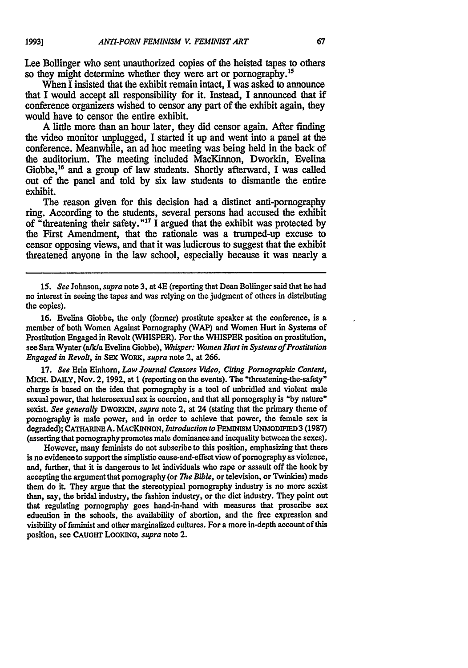Lee Bollinger who sent unauthorized copies of the heisted tapes to others so they might determine whether they were art or pornography.<sup>15</sup>

When  $\bar{I}$  insisted that the exhibit remain intact, I was asked to announce that I would accept all responsibility for it. Instead, I announced that if conference organizers wished to censor any part of the exhibit again, they would have to censor the entire exhibit.

A little more than an hour later, they did censor again. After finding the video monitor unplugged, I started it up and went into a panel at the conference. Meanwhile, an ad hoe meeting was being held in the back of the auditorium. The meeting included MacKinnon, Dworkin, Evelina Giobbe,<sup>16</sup> and a group of law students. Shortly afterward, I was called out of the panel and told by six law students to dismantle the entire exhibit.

The reason given for this decision had a distinct anti-pornography ring. According to the students, several persons had accused the exhibit of "threatening their safety."<sup>17</sup>**I** argued that the exhibit was protected by the First Amendment, that the rationale was a trumped-up excuse to censor opposing views, and that it was ludicrous to suggest that the exhibit threatened anyone in the law school, especially because it was nearly a

16. Evelina Giobbe, the only (former) prostitute speaker at the conference, is a member of both Women Against Pornography (WAP) and Women Hurt in Systems of Prostitution Engaged in Revolt (WHISPER). For the WHISPER position on prostitution, see Sara Wynter (a/k/a Evelina Giobbe), *Whisper: Women Hurt in Sstems of Prostitution Engaged in Revolt, in* **SEX** WORK, *supra* note 2, at 266.

**17.** *See* Erin Einhorn, *Law Journal Censors Video, Citing Pornographic Content,* MIcH. **DAILY,** Nov. 2, 1992, at 1 (reporting on the events). The "threatening-the-safety" charge is based on the idea that pornography is a tool of unbridled and violent male sexual power, that heterosexual sex is coercion, and that all pornography is **"by** nature" sexist. *See generally* DWORKIN, *supra* note 2, at 24 (stating that the primary theme of pornography is male power, and in order to achieve that power, the female sex is degraded); **CATHAinE** A. **MACKINNON,** *Introduction to* **FEMMNISM UNMODIFMD** 3 **(1987)** (asserting that pornographypromotes male dominance and inequality between the sexes).

However, many feminists do not subscribe to this position, emphasizing that there is no evidence to support the simplistic cause-and-effect view of pornography as violence, and, further, that it is dangerous to let individuals who rape or assault off the hook **by** accepting the argument that pornography (or *The Bible,* or television, or Twinkies) made them do it. They argue that the stereotypical pornography industry is no more sexist than, say, the bridal industry, the fashion industry, or the diet industry. **They** point out that regulating pornography goes hand-in-hand with measures that proscribe sex education in the schools, the availability of abortion, and the free expression and visibility of feminist and other marginalized cultures. For a more in-depth account of this position, see **CAUGHT** LOOKING, *supra* note 2.

*<sup>15.</sup> See* Johnson, *supra* note 3, at 4E (reporting that Dean Bollinger said that he had no interest in seeing the tapes and was relying on the judgment of others in distributing the copies).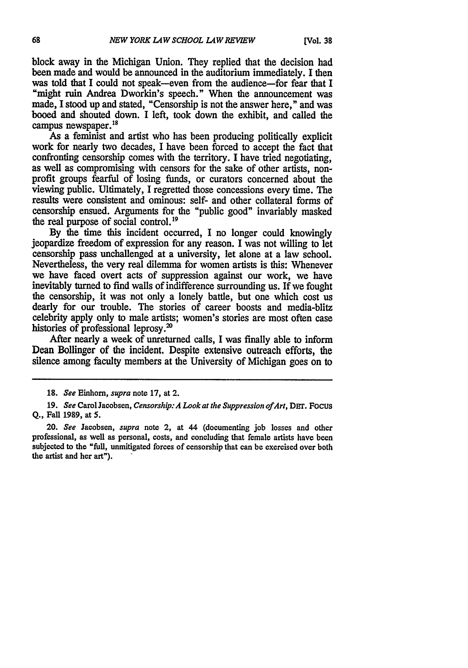block away in the Michigan Union. They replied that the decision had been made and would be announced in the auditorium immediately. **I** then was told that **I** could not speak-even from the audience-for fear that I "might ruin Andrea Dworkin's speech." When the announcement was made, I stood up and stated, "Censorship is not the answer here," and was booed and shouted down. I left, took down the exhibit, and called the campus newspaper.<sup>18</sup>

As a feminist and artist who has been producing politically explicit work for nearly two decades, I have been forced to accept the fact that confronting censorship comes with the territory. **I** have tried negotiating, as well as compromising with censors for the sake of other artists, nonprofit groups fearful of losing funds, or curators concerned about the viewing public. Ultimately, I regretted those concessions every time. The results were consistent and ominous: self- and other collateral forms of censorship ensued. Arguments for the "public good" invariably masked the real purpose of social control.<sup>19</sup>

By the time this incident occurred, I no longer could knowingly jeopardize freedom of expression for any reason. I was not willing to let censorship pass unchallenged at a university, let alone at a law school. Nevertheless, the very real dilemma for women artists is this: Whenever we have faced overt acts of suppression against our work, we have inevitably turned to find walls of indifference surrounding us. If we fought the censorship, it was not only a lonely battle, but one which cost us dearly for our trouble. The stories of career boosts and media-blitz celebrity apply only to male artists; women's stories are most often case histories of professional leprosy.<sup>20</sup>

After nearly a week of unreturned calls, I was finally able to inform Dean Bollinger of the incident. Despite extensive outreach efforts, the silence among faculty members at the University of Michigan goes on to

**<sup>18.</sup>** *See* Einhorn, *supra* note 17, at 2.

<sup>19.</sup> *See* Carol Jacobsen, *Censorship: A Look at the Suppression of Art*, DET. Focus Q., Fall 1989, at 5.

<sup>20.</sup> *See* Jacobsen, *supra* note 2, at 44 (documenting job losses and other professional, as well as personal, costs, and concluding that female artists have been subjected to the "full, unmitigated forces of censorship that can be exercised over both the artist and her art").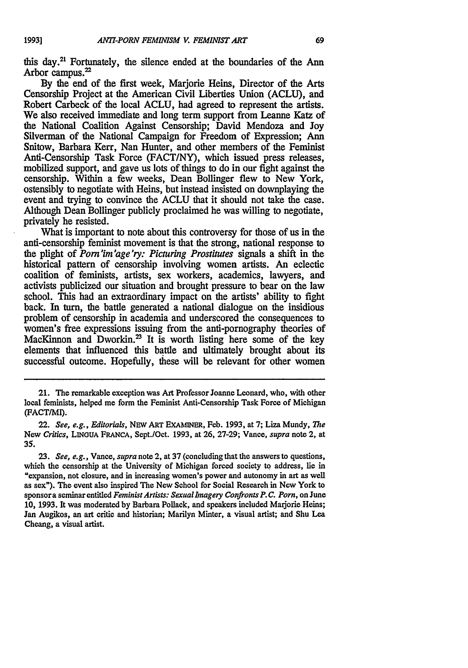this day.<sup>21</sup> Fortunately, the silence ended at the boundaries of the Ann Arbor campus.<sup>22</sup>

By the end of the first week, Marjorie Heins, Director of the Arts Censorship Project at the American Civil Liberties Union (ACLU), and Robert Carbeck of the local ACLU, had agreed to represent the artists. We also received immediate and long term support from Leanne Katz of the National Coalition Against Censorship; David Mendoza and Joy Silverman of the National Campaign for Freedom of Expression; Ann Snitow, Barbara Kerr, Nan Hunter, and other members of the Feminist Anti-Censorship Task Force (FACT/NY), which issued press releases, mobilized support, and gave us lots of things to do in our fight against the censorship. Within a few weeks, Dean Bollinger flew to New York, ostensibly to negotiate with Heins, but instead insisted on downplaying the event and trying to convince the ACLU that it should not take the case. Although Dean Bollinger publicly proclaimed he was willing to negotiate, privately he resisted.

What is important to note about this controversy for those of us in the anti-censorship feminist movement is that the strong, national response to the plight of *Porn'im'age'ry: Picturing Prostitutes* signals a shift in the historical pattern of censorship involving women artists. An eclectic coalition of feminists, artists, sex workers, academics, lawyers, and activists publicized our situation and brought pressure to bear on the law school. This had an extraordinary impact on the artists' ability to fight back. In turn, the battle generated a national dialogue on the insidious problem of censorship in academia and underscored the consequences to women's free expressions issuing from the anti-pornography theories of MacKinnon and Dworkin.<sup>23</sup> It is worth listing here some of the key elements that influenced this battle and ultimately brought about its successful outcome. Hopefully, these will be relevant for other women

<sup>21.</sup> The remarkable exception was Art Professor Joanne Leonard, who, with other local feminists, helped me form the Feminist Anti-Censorship Task Force of Michigan (FACT/MI).

<sup>22.</sup> *See, e.g., Editorials,* **NEW ART EXAMINER, Feb. 1993,** at 7; Liza Mundy, *The* **New** *Critics,* LINOUA FRANCA, Sept./Oct. **1993,** at **26, 27-29;** Vance, *supra* note 2, at **35.**

*<sup>23.</sup> See, e.g., Vance, supra* note 2, at **37** (concluding that the answers to questions, which the censorship at the University of Michigan forced society to address, lie in "expansion, not closure, and in increasing women's power and autonomy in art as well as sex"). The event also inspired The New School for Social Research in New York to sponsora seminar entitled *Feminist Artists: Sexual Imagery Confronts P.C. Porn,* on June **10,** 1993. It was moderated by Barbara Pollack, and speakers included Marjorie Heins; Jan Augikos, an art critic and historian; Marilyn Minter, a visual artist; and Shu Lea Cheang, a visual artist.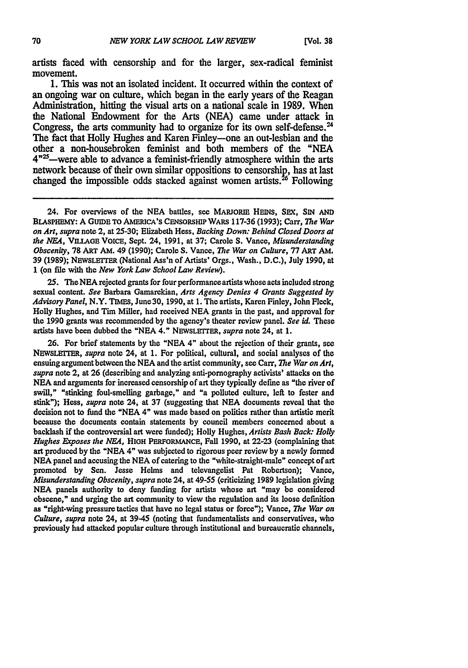artists faced with censorship and for the larger, sex-radical feminist movement.

**1.** This was not an isolated incident. It occurred within the context of an ongoing war on culture, which began in the early years of the Reagan Administration, hitting the visual arts on a national scale in **1989.** When the National Endowment for the Arts **(NEA)** came under attack in Congress, the arts community had to organize for its own self-defense.<sup>24</sup> The fact that Holly Hughes and Karen Finley-one an out-lesbian and the other a non-housebroken feminist and both members of the **"NEA**  $4^{n25}$ —were able to advance a feminist-friendly atmosphere within the arts network because of their own similar oppositions to censorship, has at last changed the impossible odds stacked against women artists.<sup>26</sup> Following

25. The **NEA** rejected grants for four performanceartists whose acts included strong sexual content. *See* Barbara Gamarekian, *Arts Agency Denies 4 Grants Suggested by Advisory Panel,* N.Y. **TIMES,** June30, 1990, at 1. The artists, Karen Finley, John Fleck, Holly Hughes, and Tim Miller, had received **NEA** grants in the past, and approval for the 1990 grants was recommended by the agency's theater review panel. *See id.* These artists have been dubbed the "NEA 4." NEWSLETER, *supra* note 24, at 1.

**26.** For brief statements **by** the "NEA 4" about the rejection of their grants, see **NEWSLTIE,** *supra* note 24, at 1. For political, cultural, and social analyses of the ensuing argument between the **NEA** and the artist community, see Carr, *The War on Art, supra* note 2, at **26** (describing and analyzing anti-pornography activists' attacks on the **NEA** and arguments for increased censorship of art they typically define as "the river of swill," "stinking foul-smelling garbage," and "a polluted culture, left to fester and stink"); Hess, *supra* note 24, at 37 (suggesting that **NEA** documents reveal that the decision not to fund the "NEA 4" was made based on politics rather than artistic merit because the documents contain statements **by** council members concerned about a backlash if the controversial art were funded); Holly Hughes, *Artists Bash Back: Holly Hughes Exposes the NEA,* HIGH **PERFORMANCE,** Fall 1990, at **22-23** (complaining that art produced by the "NEA 4" was subjected to rigorous peer review by a newly formed **NEA** panel and accusing the **NEA** of catering to the "white-straight-male" concept of art promoted by Sen. Jesse Helms and televangelist Pat Robertson); Vance, *Misunderstanding Obscenity, supra* note 24, at 49-55 (criticizing 1989 legislation giving **NEA** panels authority to deny funding for artists whose art "may be considered obscene," and urging the art community to view the regulation and its loose definition as "right-wing pressure tactics that have no legal status or force"); Vance, *The War on Culture, supra* note 24, at 39-45 (noting that fundamentalists and conservatives, who previously had attacked popular culture through institutional and bureaucratic channels,

<sup>24.</sup> For overviews of the NEA battles, see MARJORIE HEINS, SEX, SIN AND BLASPHEMY: A **GUIDE** TO **AMERICA'S CENSORSHIP** WARs 117-36 **(1993);** Carr, *The War on Art, supra* note 2, at **25-30;** Elizabeth Hess, *Backing Down: Behind Closed Doors at the NEA,* **V.LAGE VOICE,** Sept. 24, 1991, at **37;** Carole **S.** Vance, Misunderstanding Obscenity, **78 ART AM.** 49 **(1990);** Carole **S.** Vance, *The* War on Culture, **77** ART **AM. 39 (1989); NEWSLm'rER** (National Ass'n of Artists' Orgs., Wash., **D.C.),** July **1990,** at **1** (on file with the *New York Law School Law Review).*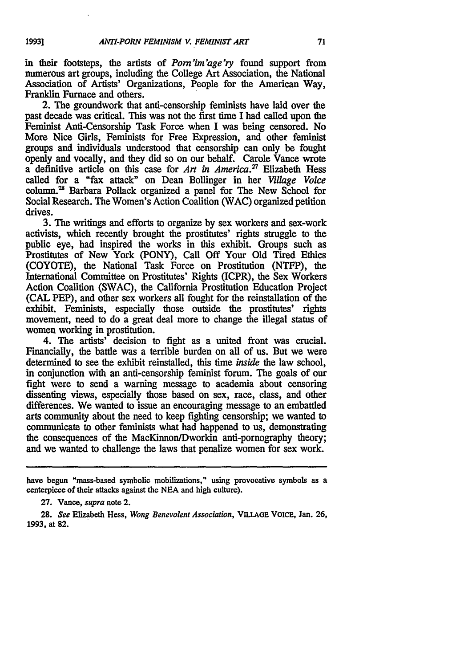in their footsteps, the artists of *Porn'im'age'ry* found support from numerous art groups, including the College Art Association, the National Association of Artists' Organizations, People for the American Way, Franklin Furnace and others.

2. The groundwork that anti-censorship feminists have laid over the past decade was critical. This was not the first time I had called upon the Feminist Anti-Censorship Task Force when I was being censored. No More Nice Girls, Feminists for Free Expression, and other feminist groups and individuals understood that censorship can only be fought openly and vocally, and they did so on our behalf. Carole Vance wrote a definitive article on this case for *Art in America.'* Elizabeth Hess called for a "fax attack" on Dean Bollinger in her *Village Voice* column.<sup>28</sup> Barbara Pollack organized a panel for The New School for Social Research. The Women's Action Coalition (WAC) organized petition drives.

3. The writings and efforts to organize by sex workers and sex-work activists, which recently brought the prostitutes' rights struggle to the public eye, had inspired the works in this exhibit. Groups such as Prostitutes of New York (PONY), Call Off Your Old Tired Ethics (COYOTE), the National Task Force on Prostitution (NTFP), the International Committee on Prostitutes' Rights (ICPR), the Sex Workers Action Coalition (SWAC), the California Prostitution Education Project (CAL PEP), and other sex workers all fought for the reinstallation of the exhibit. Feminists, especially those outside the prostitutes' rights movement, need to do a great deal more to change the illegal status of women working in prostitution.

4. The artists' decision to fight as a united front was crucial. Financially, the battle was a terrible burden on all of us. But we were determined to see the exhibit reinstalled, this time *inside* the law school, in conjunction with an anti-censorship feminist forum. The goals of our fight were to send a warning message to academia about censoring dissenting views, especially those based on sex, race, class, and other differences. We wanted to issue an encouraging message to an embattled arts community about the need to keep fighting censorship; we wanted to communicate to other feminists what had happened to us, demonstrating the consequences of the MacKinnon/Dworkin anti-pornography theory; and we wanted to challenge the laws that penalize women for sex work.

28. *See* Elizabeth Hess, *Wong Benevolent Association,* **VILLAGE** VOIcE, Jan. **26, 1993, at 82.**

**1993]**

have begun "mass-based symbolic mobilizations," using provocative symbols as a centerpiece of their attacks against the NEA and high culture).

**<sup>27.</sup>** Vance, *supra* note 2.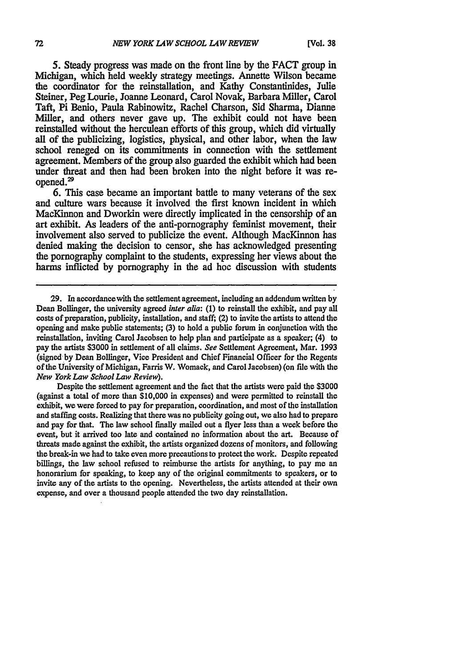**5.** Steady progress was made on the front line **by** the **FACT** group in Michigan, which held weekly strategy meetings. Annette Wilson became the coordinator for the reinstallation, and Kathy Constantinides, Julie Steiner, Peg Lourie, Joanne Leonard, Carol Novak, Barbara Miller, Carol Taft, Pi Benio, Paula Rabinowitz, Rachel Charson, Sid Sharma, Dianne Miller, and others never gave up. The exhibit could not have been reinstalled without the herculean efforts of this group, which did virtually all of the publicizing, logistics, physical, and other labor, when the law school reneged on its commitments in connection with the settlement agreement. Members of the group also guarded the exhibit which had been under threat and then had been broken into the night before it was reopened.29

**6.** This case became an important battle to many veterans of the sex and culture wars because it involved the first known incident in which MacKinnon and Dworkin were directly implicated in the censorship of an art exhibit. As leaders of the anti-pornography feminist movement, their involvement also served to publicize the event. Although MacKinnon has denied making the decision to censor, she has acknowledged presenting the pornography complaint to the students, expressing her views about the harms inflicted **by** pornography in the ad hoe discussion with students

Despite the settlement agreement and the fact that the artists were paid the **\$3000** (against a total of more than \$10,000 in expenses) and were permitted to reinstall the exhibit, we were forced to pay for preparation, coordination, and most of the installation and staffing costs. Realizing that there was no publicity going out, we also had to prepare and pay for that. The law school finally mailed out a flyer less than a week before the event, but it arrived too late and contained no information about the art. Because of threats made against the exhibit, the artists organized dozens of monitors, and following the break-in we had to take even more precautions to protect the work. Despite repeated billings, the law school refused to reimburse the artists for anything, to pay me an honorarium for speaking, to keep any of the original commitments to speakers, or to invite any of the artists to the opening. Nevertheless, the artists attended at their own expense, and over a thousand people attended the two day reinstallation.

**<sup>29.</sup>** In accordancewith the settlement agreement, including an addendum written by Dean Bollinger, the university agreed *inter alia:* (1) to reinstall the exhibit, and pay all costs of preparation, publicity, installation, and staff; (2) to invite the artists to attend the opening and make public statements; **(3)** to hold a public forum in conjunction with the reinstallation, inviting Carol Jacobsen to help plan and participate as a speaker; (4) to pay the artists \$3000 in settlement of all claims. *See* Settlement Agreement, Mar. 1993 (signed by Dean Bollinger, Vice President and Chief Financial Officer for the Regents of the University of Michigan, Farris W. Womack, and Carol Jacobsen) (on file with the *New York Law School Law Review).*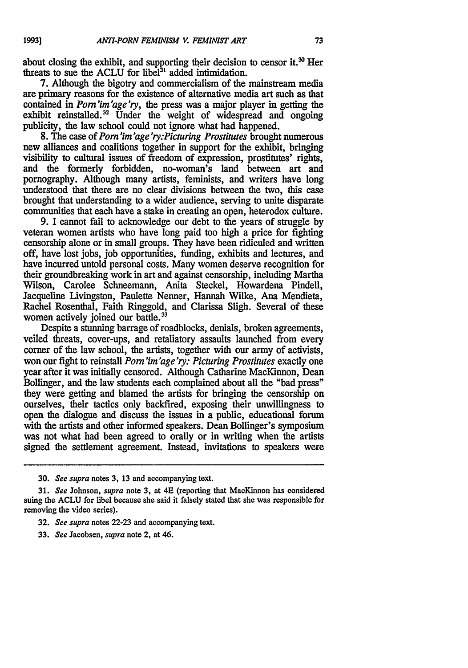about closing the exhibit, and supporting their decision to censor it.<sup>30</sup> Her threats to sue the ACLU for libel $3<sup>1</sup>$  added intimidation.

7. Although the bigotry and commercialism of the mainstream media are primary reasons for the existence of alternative media art such as that contained in *Porn'im'age 'ry,* the press was a major player in getting the exhibit reinstalled.<sup>32</sup> Under the weight of widespread and ongoing publicity, the law school could not ignore what had happened.

8. The case of *Porn "im'age 'ry:Picturing Prostitutes* brought numerous new alliances and coalitions together in support for the exhibit, bringing visibility to cultural issues of freedom of expression, prostitutes' rights, and the formerly forbidden, no-woman's land between art and pornography. Although many artists, feminists, and writers have long understood that there are no clear divisions between the two, this case brought that understanding to a wider audience, serving to unite disparate communities that each have a stake in creating an open, heterodox culture.

9. I cannot fail to acknowledge our debt to the years of struggle by veteran women artists who have long paid too high a price for fighting censorship alone or in small groups. They have been ridiculed and written off, have lost jobs, job opportunities, funding, exhibits and lectures, and have incurred untold personal costs. Many women deserve recognition for their groundbreaking work in art and against censorship, including Martha Wilson, Carolee Schneemann, Anita Steckel, Howardena Pindell, Jacqueline Livingston, Paulette Nenner, Hannah Wilke, Ana Mendieta, Rachel Rosenthal, Faith Ringgold, and Clarissa Sligh. Several of these women actively joined our battle.<sup>33</sup>

Despite a stunning barrage of roadblocks, denials, broken agreements, veiled threats, cover-ups, and retaliatory assaults launched from every corner of the law school, the artists, together with our army of activists, won our fight to reinstall *Porn'im'age'ry: Picturing Prostitutes* exactly one year after it was initially censored. Although Catharine MacKinnon, Dean Bollinger, and the law students each complained about all the "bad press" they were getting and blamed the artists for bringing the censorship on ourselves, their tactics only backfired, exposing their unwillingness to open the dialogue and discuss the issues in a public, educational forum with the artists and other informed speakers. Dean Bollinger's symposium was not what had been agreed to orally or in writing when the artists signed the settlement agreement. Instead, invitations to speakers were

- **32.** *See supra* notes **22-23** and accompanying text.
- 33. *See* Jacobsen, *supra* note 2, at 46.

**<sup>30.</sup>** *See supra* notes **3, 13** and accompanying text.

**<sup>31.</sup>** *See* Johnson, *supra* note 3, at 4E (reporting that MacKinnon has considered suing the **ACLU** for libel because she said it falsely stated that she was responsible for removing the video series).